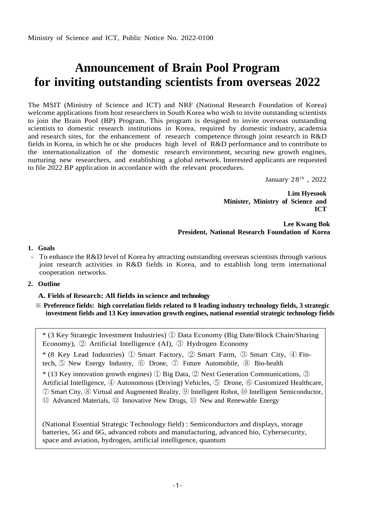# **Announcement of Brain Pool Program for inviting outstanding scientists from overseas 2022**

The MSIT (Ministry of Science and ICT) and NRF (National Research Foundation of Korea) welcome applications from host researchers in South Korea who wish to invite outstanding scientists to join the Brain Pool (BP) Program. This program is designed to invite overseas outstanding scientists to domestic research institutions in Korea, required by domestic industry, academia and research sites, for the enhancement of research competence through joint research in R&D fields in Korea, in which he or she produces high level of R&D performance and to contribute to the internationalization of the domestic research environment, securing new growth engines, nurturing new researchers, and establishing a global network. Interested applicants are requested to file 2022 BP application in accordance with the relevant procedures.

January  $28^{\text{th}}$  ,  $2022$ 

**Lim Hyesook Minister, Ministry of Science and ICT**

**Lee Kwang Bok President, National Research Foundation of Korea**

## **1. Goals**

To enhance the R&D level of Korea by attracting outstanding overseas scientists through various joint research activities in R&D fields in Korea, and to establish long term international cooperation networks.

# **2. Outline**

## **A. Fields of Research: All fields in science and technology**

※ **Preference fields: high correlation fields related to 8 leading industry technology fields, 3 strategic investment fields and 13 Key innovation growth engines, national essential strategic technology fields**

\* (3 Key Strategic Investment Industries) ① Data Economy (Big Date/Block Chain/Sharing Economy), ② Artificial Intelligence (AI), ③ Hydrogen Economy \* (8 Key Lead Industries) ① Smart Factory, ② Smart Farm, ③ Smart City, ④ Fintech, ⑤ New Energy Industry, ⑥ Drone, ⑦ Future Automobile, ⑧ Bio-health  $*$  (13 Key innovation growth engines)  $\overline{1}$  Big Data,  $\overline{2}$  Next Generation Communications,  $\overline{3}$ Artificial Intelligence, ④ Autonomous (Driving) Vehicles, ⑤ Drone, ⑥ Customized Healthcare, ⑦ Smart City, ⑧ Virtual and Augmented Reality, ⑨ Intelligent Robot, ⑩ Intelligent Semiconductor, ⑪ Advanced Materials, ⑫ Innovative New Drugs, ⑬ New and Renewable Energy

(National Essential Strategic Technology field) : Semiconductors and displays, storage batteries, 5G and 6G, advanced robots and manufacturing, advanced bio, Cybersecurity, space and aviation, hydrogen, artificial intelligence, quantum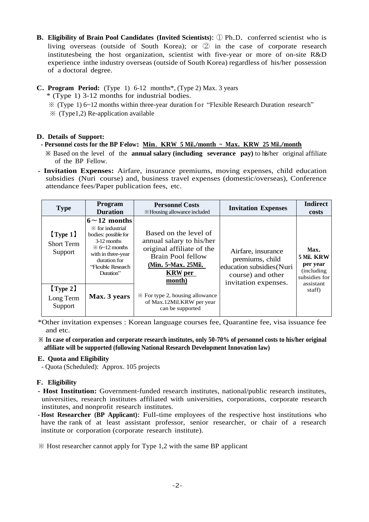- **B. Eligibility of Brain Pool Candidates (Invited Scientists)**: <sup>①</sup> Ph.D. conferred scientist who is living overseas (outside of South Korea); or ② in the case of corporate research institutesbeing the host organization, scientist with five-year or more of on-site R&D experience inthe industry overseas (outside of South Korea) regardless of his/her possession of a doctoral degree.
- **C. Program Period:** (Type 1) 6-12 months\*, (Type 2) Max. 3 years
	- \* (Type 1) 3-12 months for industrial bodies.
	- ※ (Type 1) 6~12 months within three-year duration for "Flexible Research Duration research"
	- $\mathcal X$  (Type1,2) Re-application available

# **D. Details of Support:**

# **- Personnel costs for the BP Fellow: Min**. **KRW <sup>5</sup> Mil./month <sup>~</sup> Max. KRW <sup>25</sup> Mil./month**

- **※** Based on the level of the **annual salary (including severance pay)** to his/her original affiliate of the BP Fellow.
- **- Invitation Expenses:** Airfare, insurance premiums, moving expenses, child education subsidies (Nuri course) and, business travel expenses (domestic/overseas), Conference attendance fees/Paper publication fees, etc.

| <b>Type</b>                                  | <b>Program</b><br><b>Duration</b>                                                                                                                                                                       | <b>Personnel Costs</b><br><b>EX</b> Housing allowance included                                                                                                | <b>Invitation Expenses</b>                                                                                      | <b>Indirect</b><br>costs                                                    |
|----------------------------------------------|---------------------------------------------------------------------------------------------------------------------------------------------------------------------------------------------------------|---------------------------------------------------------------------------------------------------------------------------------------------------------------|-----------------------------------------------------------------------------------------------------------------|-----------------------------------------------------------------------------|
| $\{Type 1\}$<br><b>Short Term</b><br>Support | $6 \sim 12$ months<br>$\mathbb X$ for industrial<br>bodies: possible for<br>$3-12$ months<br>$\frac{1}{2}$ 6 $\sim$ 12 months<br>with in three-year<br>duration for<br>"Flexible Research"<br>Duration" | Based on the level of<br>annual salary to his/her<br>original affiliate of the<br><b>Brain Pool fellow</b><br>(Min. 5~Max. 25Mil.<br><b>KRW</b> per<br>month) | Airfare, insurance<br>premiums, child<br>education subsidies (Nuri<br>course) and other<br>invitation expenses. | Max.<br>5 Mil. KRW<br>per year<br>(including)<br>subsidies for<br>assistant |
| Type 2]<br>Long Term<br>Support              | Max. 3 years                                                                                                                                                                                            | $\mathcal X$ For type 2, housing allowance<br>of Max.12Mil.KRW per year<br>can be supported                                                                   |                                                                                                                 | staff)                                                                      |

\*Other invitation expenses : Korean language courses fee, Quarantine fee, visa issuance fee and etc.

**※ In case of corporation and corporate research institutes, only 50-70% of personnel costs to his/her original affiliate will be supported (following National Research Development Innovation law)**

# **E. Quota and Eligibility**

- Quota (Scheduled): Approx. 105 projects

# **F. Eligibility**

- **- Host Institution:** Government-funded research institutes, national/public research institutes, universities, research institutes affiliated with universities, corporations, corporate research institutes, and nonprofit research institutes.
- **- Host Researcher (BP Applicant)**: Full-time employees of the respective host institutions who have the rank of at least assistant professor, senior researcher, or chair of a research institute or corporation (corporate research institute).

※ Host researcher cannot apply for Type 1,2 with the same BP applicant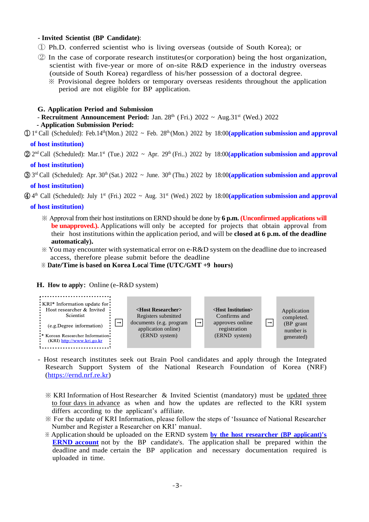## **- Invited Scientist (BP Candidate)**:

- ① Ph.D. conferred scientist who is living overseas (outside of South Korea); or
- ② In the case of corporate research institutes(or corporation) being the host organization, scientist with five-year or more of on-site R&D experience in the industry overseas (outside of South Korea) regardless of his/her possession of a doctoral degree.
	- ※ Provisional degree holders or temporary overseas residents throughout the application period are not eligible for BP application.

#### **G. Application Period and Submission**

**- Recruitment Announcement Period:** Jan. 28<sup>th</sup> (Fri.) 2022 ~ Aug.31<sup>st</sup> (Wed.) 2022

#### **- Application Submission Period:**

- ① 1 st Call (Scheduled): Feb.14th(Mon.) 2022 ~ Feb. 28th. (Mon.) 2022 by 18:00**(application submission and approval of host institution)**
- ② 2 nd Call (Scheduled): Mar.1 st (Tue.) 2022 ~ Apr. 29th (Fri..) 2022 by 18:00**(application submission and approval of host institution)**

- ④ 4 th Call (Scheduled): July 1 st (Fri.) 2022 ~ Aug. 31st (Wed.) 2022 by 18:00**(application submission and approval of host institution)**
	- ※ Approval from their host institutions on ERND should be done by **6 p.m. (Unconfirmed applications will be unapproved.).** Applications will only be accepted for projects that obtain approval from their host institutions within the application period, and will be **closed at 6 p.m. of the deadline automatically).**
	- $\&$  You may encounter with systematical error on e-R&D system on the deadline due to increased access, therefore please submit before the deadline
	- ※ **Date/Time is based on Korea Local Time (UTC/GMT +9 hours)**

#### **H. How to apply**: Online (e-R&D system)



- Host research institutes seek out Brain Pool candidates and apply through the Integrated Research Support System of the National Research Foundation of Korea (NRF) [\(https://ernd.nrf.re.kr\)](https://ernd.nrf.re.kr/)
	- ※ KRI Information of Host Researcher & Invited Scientist (mandatory) must be updated three to four days in advance as when and how the updates are reflected to the KRI system differs according to the applicant's affiliate.
	- ※ For the update of KRI Information, please follow the steps of 'Issuance of National Researcher Number and Register a Researcher on KRI' manual.
	- ※ Application should be uploaded on the ERND system **by the host researcher (BP applicant)'s ERND account** not by the BP candidate's. The application shall be prepared within the deadline and made certain the BP application and necessary documentation required is uploaded in time.

③ 3 rd Call (Scheduled): Apr. 30th (Sat.) 2022 ~ June. 30 th (Thu.) 2022 by 18:00**(application submission and approval of host institution)**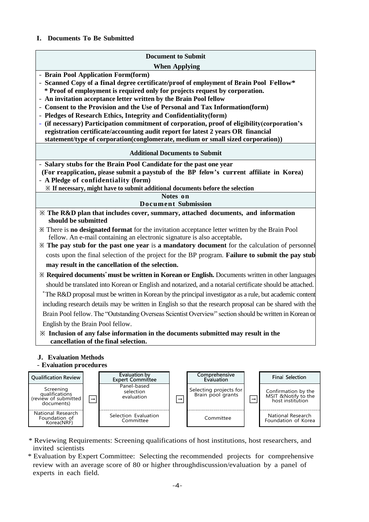## **I. Documents To Be Submitted**

### **Document to Submit**

#### **When Applying**

- **- Brain Pool Application Form(form)**
- **- Scanned Copy of a final degree certificate/proof of employment of Brain Pool Fellow\* \* Proof of employment is required only for projects request by corporation.**
- **- An invitation acceptance letter written by the Brain Pool fellow**
- **- Consent to the Provision and the Use of Personal and Tax Information(form)**
- **- Pledges of Research Ethics, Integrity and Confidentiality(form)**
- **- (if necessary) Participation commitment of corporation, proof of eligibility(corporation's registration certificate/accounting audit report for latest 2 years OR financial statement/type of corporation(conglomerate, medium or small sized corporation))**

#### **Additional Documents to Submit**

- **- Salary stubs for the Brain Pool Candidate for the past one year**
- **(For reapplication, please submit a paystub of the BP fellow's current affiliate in Korea) - A Pledge of confidentiality (form)**
- **※ If necessary, might have to submit additional documents before the selection**

**Notes on** 

# **Document Submission**

- **※ The R&D plan that includes cover, summary, attached documents, and information should be submitted**
- **※** There is **no designated format** for the invitation acceptance letter written by the Brain Pool fellow. An e-mail containing an electronic signature is also acceptable**.**
- **※ The pay stub for the past one year** is **a mandatory document** for the calculation of personnel costs upon the final selection of the project for the BP program. **Failure to submit the pay stub may result in the cancellation of the selection.**
- **※ Required documents**\* **must be written in Korean or English.** Documents written in other languages should be translated into Korean or English and notarized, and a notarial certificate should be attached. \* The R&D proposal must be written in Korean by the principal investigator as a rule, but academic content including research details may be written in English so that the research proposal can be shared with the Brain Pool fellow. The "Outstanding Overseas Scientist Overview" section should be written in Korean or English by the Brain Pool fellow.

# **※ Inclusion of any false information in the documents submitted may result in the cancellation of the final selection.**

### **J. Evaluation Methods** - **Evaluation procedures**



- \* Reviewing Requirements: Screening qualifications of host institutions, host researchers, and invited scientists
- \* Evaluation by Expert Committee: Selecting the recommended projects for comprehensive review with an average score of 80 or higher throughdiscussion/evaluation by a panel of experts in each field.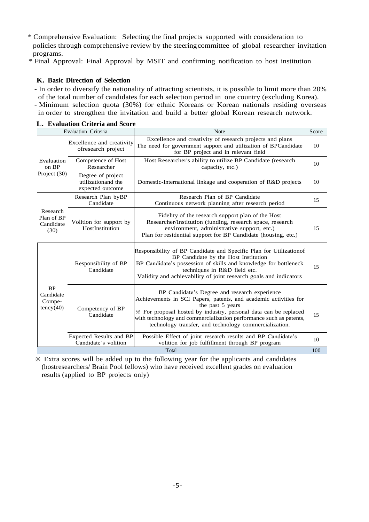\* Comprehensive Evaluation: Selecting the final projects supported with consideration to policies through comprehensive review by the steering committee of global researcher invitation programs.

\* Final Approval: Final Approval by MSIT and confirming notification to host institution

## **K. Basic Direction of Selection**

- In order to diversify the nationality of attracting scientists, it is possible to limit more than 20% of the total number of candidates for each selection period in one country (excluding Korea). - Minimum selection quota (30%) for ethnic Koreans or Korean nationals residing overseas

in order to strengthen the invitation and build a better global Korean research network.

| Evaluation Criteria                           |                                                              | <b>Note</b>                                                                                                                                                                                                                                                                                                                               | Score |  |
|-----------------------------------------------|--------------------------------------------------------------|-------------------------------------------------------------------------------------------------------------------------------------------------------------------------------------------------------------------------------------------------------------------------------------------------------------------------------------------|-------|--|
| Evaluation<br>on BP<br>Project (30)           | Excellence and creativity<br>ofresearch project              | Excellence and creativity of research projects and plans<br>The need for government support and utilization of BPCandidate<br>for BP project and in relevant field                                                                                                                                                                        | 10    |  |
|                                               | Competence of Host<br>Researcher                             | Host Researcher's ability to utilize BP Candidate (research<br>capacity, etc.)                                                                                                                                                                                                                                                            | 10    |  |
|                                               | Degree of project<br>utilization and the<br>expected outcome | Domestic-International linkage and cooperation of R&D projects                                                                                                                                                                                                                                                                            | 10    |  |
|                                               | Research Plan byBP<br>Candidate                              | Research Plan of BP Candidate<br>Continuous network planning after research period                                                                                                                                                                                                                                                        | 15    |  |
| Research<br>Plan of BP<br>Candidate<br>(30)   | Volition for support by<br>HostInstitution                   | Fidelity of the research support plan of the Host<br>Researcher/Institution (funding, research space, research<br>environment, administrative support, etc.)<br>Plan for residential support for BP Candidate (housing, etc.)                                                                                                             | 15    |  |
| <b>BP</b><br>Candidate<br>Compe-<br>tency(40) | Responsibility of BP<br>Candidate                            | Responsibility of BP Candidate and Specific Plan for Utilization of<br>BP Candidate by the Host Institution<br>BP Candidate's possession of skills and knowledge for bottleneck<br>techniques in R&D field etc.<br>Validity and achievability of joint research goals and indicators                                                      | 15    |  |
|                                               | Competency of BP<br>Candidate                                | BP Candidate's Degree and research experience<br>Achievements in SCI Papers, patents, and academic activities for<br>the past 5 years<br>* For proposal hosted by industry, personal data can be replaced<br>with technology and commercialization performance such as patents,<br>technology transfer, and technology commercialization. | 15    |  |
|                                               | Expected Results and BP<br>Candidate's volition              | Possible Effect of joint research results and BP Candidate's<br>volition for job fulfillment through BP program                                                                                                                                                                                                                           | 10    |  |
| Total<br>100                                  |                                                              |                                                                                                                                                                                                                                                                                                                                           |       |  |

**L. Evaluation Criteria and Score**

※ Extra scores will be added up to the following year for the applicants and candidates (hostresearchers/ Brain Pool fellows) who have received excellent grades on evaluation results (applied to BP projects only)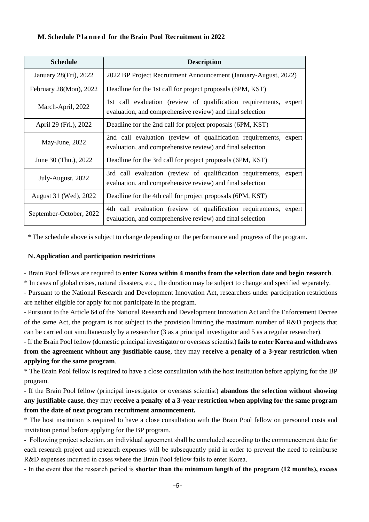## **M. Schedule Planned for the Brain Pool Recruitment in 2022**

| <b>Schedule</b>             | <b>Description</b>                                                                                                             |  |  |
|-----------------------------|--------------------------------------------------------------------------------------------------------------------------------|--|--|
| January 28(Fri), 2022       | 2022 BP Project Recruitment Announcement (January-August, 2022)                                                                |  |  |
| February $28(Mon)$ , $2022$ | Deadline for the 1st call for project proposals (6PM, KST)                                                                     |  |  |
| March-April, 2022           | 1st call evaluation (review of qualification requirements, expert<br>evaluation, and comprehensive review) and final selection |  |  |
| April 29 (Fri.), 2022       | Deadline for the 2nd call for project proposals (6PM, KST)                                                                     |  |  |
| May-June, 2022              | 2nd call evaluation (review of qualification requirements, expert<br>evaluation, and comprehensive review) and final selection |  |  |
| June 30 (Thu.), 2022        | Deadline for the 3rd call for project proposals (6PM, KST)                                                                     |  |  |
| July-August, 2022           | 3rd call evaluation (review of qualification requirements, expert<br>evaluation, and comprehensive review) and final selection |  |  |
| August 31 (Wed), 2022       | Deadline for the 4th call for project proposals (6PM, KST)                                                                     |  |  |
| September-October, 2022     | 4th call evaluation (review of qualification requirements, expert<br>evaluation, and comprehensive review) and final selection |  |  |

\* The schedule above is subject to change depending on the performance and progress of the program.

# **N.Application and participation restrictions**

- Brain Pool fellows are required to **enter Korea within 4 months from the selection date and begin research**.

\* In cases of global crises, natural disasters, etc., the duration may be subject to change and specified separately.

- Pursuant to the National Research and Development Innovation Act, researchers under participation restrictions are neither eligible for apply for nor participate in the program.

- Pursuant to the Article 64 of the National Research and Development Innovation Act and the Enforcement Decree of the same Act, the program is not subject to the provision limiting the maximum number of R&D projects that can be carried out simultaneously by a researcher (3 as a principal investigator and 5 as a regular researcher).

- If the Brain Pool fellow (domestic principal investigator or overseas scientist) **fails to enter Korea and withdraws from the agreement without any justifiable cause**, they may **receive a penalty of a 3-year restriction when applying for the same program**.

\* The Brain Pool fellow is required to have a close consultation with the host institution before applying for the BP program.

- If the Brain Pool fellow (principal investigator or overseas scientist) **abandons the selection without showing any justifiable cause**, they may **receive a penalty of a 3-year restriction when applying for the same program from the date of next program recruitment announcement.** 

\* The host institution is required to have a close consultation with the Brain Pool fellow on personnel costs and invitation period before applying for the BP program.

- Following project selection, an individual agreement shall be concluded according to the commencement date for each research project and research expenses will be subsequently paid in order to prevent the need to reimburse R&D expenses incurred in cases where the Brain Pool fellow fails to enter Korea.

- In the event that the research period is **shorter than the minimum length of the program (12 months), excess**